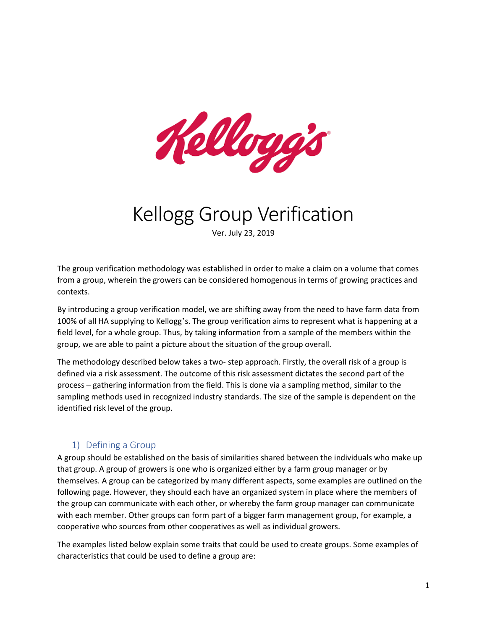

# Kellogg Group Verification

Ver. July 23, 2019

The group verification methodology was established in order to make a claim on a volume that comes from a group, wherein the growers can be considered homogenous in terms of growing practices and contexts.

By introducing a group verification model, we are shifting away from the need to have farm data from 100% of all HA supplying to Kellogg's. The group verification aims to represent what is happening at a field level, for a whole group. Thus, by taking information from a sample of the members within the group, we are able to paint a picture about the situation of the group overall.

The methodology described below takes a two- step approach. Firstly, the overall risk of a group is defined via a risk assessment. The outcome of this risk assessment dictates the second part of the process – gathering information from the field. This is done via a sampling method, similar to the sampling methods used in recognized industry standards. The size of the sample is dependent on the identified risk level of the group.

## 1) Defining a Group

A group should be established on the basis of similarities shared between the individuals who make up that group. A group of growers is one who is organized either by a farm group manager or by themselves. A group can be categorized by many different aspects, some examples are outlined on the following page. However, they should each have an organized system in place where the members of the group can communicate with each other, or whereby the farm group manager can communicate with each member. Other groups can form part of a bigger farm management group, for example, a cooperative who sources from other cooperatives as well as individual growers.

The examples listed below explain some traits that could be used to create groups. Some examples of characteristics that could be used to define a group are: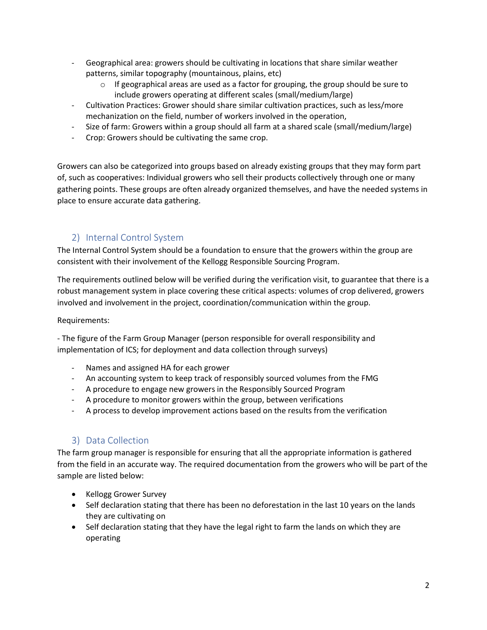- Geographical area: growers should be cultivating in locations that share similar weather patterns, similar topography (mountainous, plains, etc)
	- $\circ$  If geographical areas are used as a factor for grouping, the group should be sure to include growers operating at different scales (small/medium/large)
- Cultivation Practices: Grower should share similar cultivation practices, such as less/more mechanization on the field, number of workers involved in the operation,
- Size of farm: Growers within a group should all farm at a shared scale (small/medium/large)
- Crop: Growers should be cultivating the same crop.

Growers can also be categorized into groups based on already existing groups that they may form part of, such as cooperatives: Individual growers who sell their products collectively through one or many gathering points. These groups are often already organized themselves, and have the needed systems in place to ensure accurate data gathering.

## 2) Internal Control System

The Internal Control System should be a foundation to ensure that the growers within the group are consistent with their involvement of the Kellogg Responsible Sourcing Program.

The requirements outlined below will be verified during the verification visit, to guarantee that there is a robust management system in place covering these critical aspects: volumes of crop delivered, growers involved and involvement in the project, coordination/communication within the group.

Requirements:

- The figure of the Farm Group Manager (person responsible for overall responsibility and implementation of ICS; for deployment and data collection through surveys)

- Names and assigned HA for each grower
- An accounting system to keep track of responsibly sourced volumes from the FMG
- A procedure to engage new growers in the Responsibly Sourced Program
- A procedure to monitor growers within the group, between verifications
- A process to develop improvement actions based on the results from the verification

## 3) Data Collection

The farm group manager is responsible for ensuring that all the appropriate information is gathered from the field in an accurate way. The required documentation from the growers who will be part of the sample are listed below:

- Kellogg Grower Survey
- Self declaration stating that there has been no deforestation in the last 10 years on the lands they are cultivating on
- Self declaration stating that they have the legal right to farm the lands on which they are operating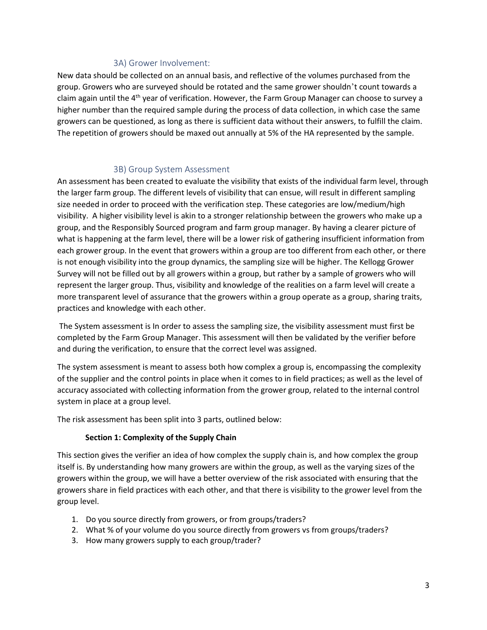#### 3A) Grower Involvement:

New data should be collected on an annual basis, and reflective of the volumes purchased from the group. Growers who are surveyed should be rotated and the same grower shouldn't count towards a claim again until the  $4<sup>th</sup>$  year of verification. However, the Farm Group Manager can choose to survey a higher number than the required sample during the process of data collection, in which case the same growers can be questioned, as long as there is sufficient data without their answers, to fulfill the claim. The repetition of growers should be maxed out annually at 5% of the HA represented by the sample.

### 3B) Group System Assessment

An assessment has been created to evaluate the visibility that exists of the individual farm level, through the larger farm group. The different levels of visibility that can ensue, will result in different sampling size needed in order to proceed with the verification step. These categories are low/medium/high visibility. A higher visibility level is akin to a stronger relationship between the growers who make up a group, and the Responsibly Sourced program and farm group manager. By having a clearer picture of what is happening at the farm level, there will be a lower risk of gathering insufficient information from each grower group. In the event that growers within a group are too different from each other, or there is not enough visibility into the group dynamics, the sampling size will be higher. The Kellogg Grower Survey will not be filled out by all growers within a group, but rather by a sample of growers who will represent the larger group. Thus, visibility and knowledge of the realities on a farm level will create a more transparent level of assurance that the growers within a group operate as a group, sharing traits, practices and knowledge with each other.

The System assessment is In order to assess the sampling size, the visibility assessment must first be completed by the Farm Group Manager. This assessment will then be validated by the verifier before and during the verification, to ensure that the correct level was assigned.

The system assessment is meant to assess both how complex a group is, encompassing the complexity of the supplier and the control points in place when it comes to in field practices; as well as the level of accuracy associated with collecting information from the grower group, related to the internal control system in place at a group level.

The risk assessment has been split into 3 parts, outlined below:

#### **Section 1: Complexity of the Supply Chain**

This section gives the verifier an idea of how complex the supply chain is, and how complex the group itself is. By understanding how many growers are within the group, as well as the varying sizes of the growers within the group, we will have a better overview of the risk associated with ensuring that the growers share in field practices with each other, and that there is visibility to the grower level from the group level.

- 1. Do you source directly from growers, or from groups/traders?
- 2. What % of your volume do you source directly from growers vs from groups/traders?
- 3. How many growers supply to each group/trader?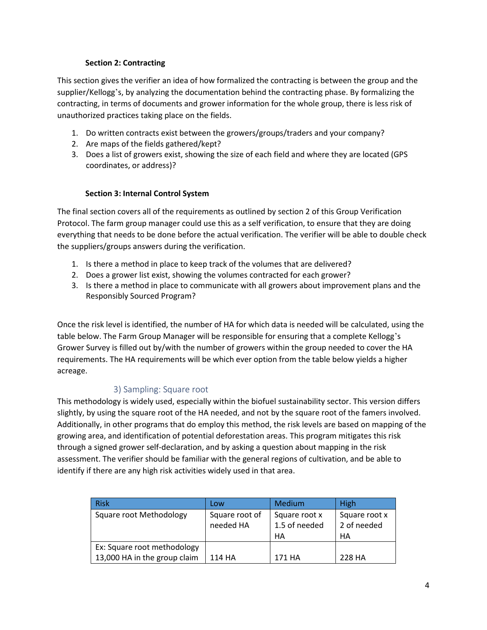### **Section 2: Contracting**

This section gives the verifier an idea of how formalized the contracting is between the group and the supplier/Kellogg's, by analyzing the documentation behind the contracting phase. By formalizing the contracting, in terms of documents and grower information for the whole group, there is less risk of unauthorized practices taking place on the fields.

- 1. Do written contracts exist between the growers/groups/traders and your company?
- 2. Are maps of the fields gathered/kept?
- 3. Does a list of growers exist, showing the size of each field and where they are located (GPS coordinates, or address)?

#### **Section 3: Internal Control System**

The final section covers all of the requirements as outlined by section 2 of this Group Verification Protocol. The farm group manager could use this as a self verification, to ensure that they are doing everything that needs to be done before the actual verification. The verifier will be able to double check the suppliers/groups answers during the verification.

- 1. Is there a method in place to keep track of the volumes that are delivered?
- 2. Does a grower list exist, showing the volumes contracted for each grower?
- 3. Is there a method in place to communicate with all growers about improvement plans and the Responsibly Sourced Program?

Once the risk level is identified, the number of HA for which data is needed will be calculated, using the table below. The Farm Group Manager will be responsible for ensuring that a complete Kellogg's Grower Survey is filled out by/with the number of growers within the group needed to cover the HA requirements. The HA requirements will be which ever option from the table below yields a higher acreage.

## 3) Sampling: Square root

This methodology is widely used, especially within the biofuel sustainability sector. This version differs slightly, by using the square root of the HA needed, and not by the square root of the famers involved. Additionally, in other programs that do employ this method, the risk levels are based on mapping of the growing area, and identification of potential deforestation areas. This program mitigates this risk through a signed grower self-declaration, and by asking a question about mapping in the risk assessment. The verifier should be familiar with the general regions of cultivation, and be able to identify if there are any high risk activities widely used in that area.

| <b>Risk</b>                  | Low            | <b>Medium</b> | High          |
|------------------------------|----------------|---------------|---------------|
| Square root Methodology      | Square root of | Square root x | Square root x |
|                              | needed HA      | 1.5 of needed | 2 of needed   |
|                              |                | HA            | HA            |
| Ex: Square root methodology  |                |               |               |
| 13,000 HA in the group claim | 114 HA         | 171 HA        | 228 HA        |